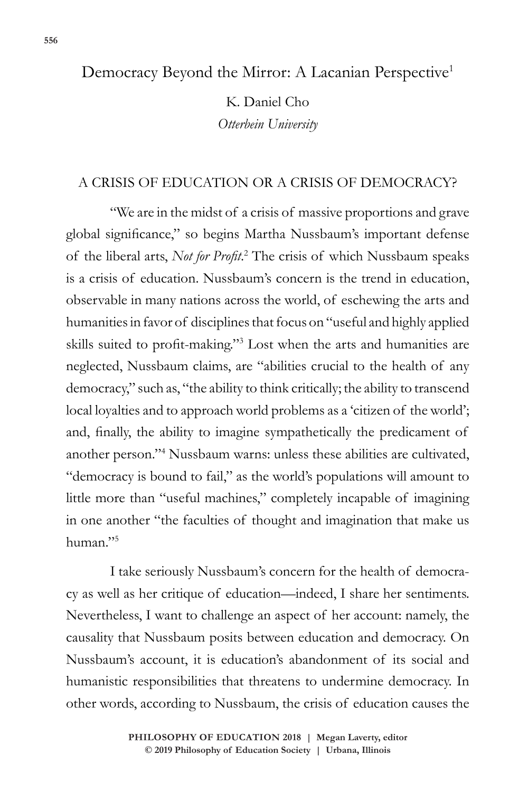# Democracy Beyond the Mirror: A Lacanian Perspective<sup>1</sup>

K. Daniel Cho *Otterbein University*

# A CRISIS OF EDUCATION OR A CRISIS OF DEMOCRACY?

"We are in the midst of a crisis of massive proportions and grave global significance," so begins Martha Nussbaum's important defense of the liberal arts, *Not for Profit*. 2 The crisis of which Nussbaum speaks is a crisis of education. Nussbaum's concern is the trend in education, observable in many nations across the world, of eschewing the arts and humanities in favor of disciplines that focus on "useful and highly applied skills suited to profit-making."<sup>3</sup> Lost when the arts and humanities are neglected, Nussbaum claims, are "abilities crucial to the health of any democracy," such as, "the ability to think critically; the ability to transcend local loyalties and to approach world problems as a 'citizen of the world'; and, finally, the ability to imagine sympathetically the predicament of another person."<sup>4</sup> Nussbaum warns: unless these abilities are cultivated, "democracy is bound to fail," as the world's populations will amount to little more than "useful machines," completely incapable of imagining in one another "the faculties of thought and imagination that make us human."<sup>5</sup>

I take seriously Nussbaum's concern for the health of democracy as well as her critique of education—indeed, I share her sentiments. Nevertheless, I want to challenge an aspect of her account: namely, the causality that Nussbaum posits between education and democracy. On Nussbaum's account, it is education's abandonment of its social and humanistic responsibilities that threatens to undermine democracy. In other words, according to Nussbaum, the crisis of education causes the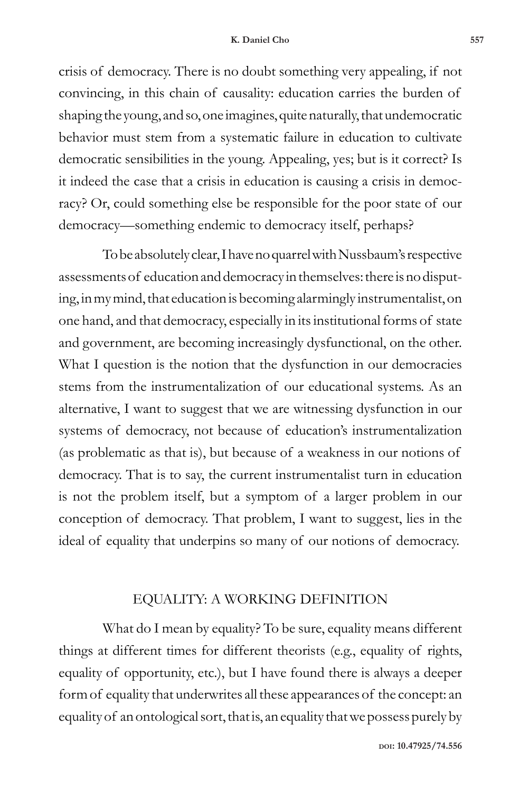crisis of democracy. There is no doubt something very appealing, if not convincing, in this chain of causality: education carries the burden of shaping the young, and so, one imagines, quite naturally, that undemocratic behavior must stem from a systematic failure in education to cultivate democratic sensibilities in the young. Appealing, yes; but is it correct? Is it indeed the case that a crisis in education is causing a crisis in democracy? Or, could something else be responsible for the poor state of our democracy—something endemic to democracy itself, perhaps?

To be absolutely clear, I have no quarrel with Nussbaum's respective assessments of education and democracy in themselves: there is no disputing, in my mind, that education is becoming alarmingly instrumentalist, on one hand, and that democracy, especially in its institutional forms of state and government, are becoming increasingly dysfunctional, on the other. What I question is the notion that the dysfunction in our democracies stems from the instrumentalization of our educational systems. As an alternative, I want to suggest that we are witnessing dysfunction in our systems of democracy, not because of education's instrumentalization (as problematic as that is), but because of a weakness in our notions of democracy. That is to say, the current instrumentalist turn in education is not the problem itself, but a symptom of a larger problem in our conception of democracy. That problem, I want to suggest, lies in the ideal of equality that underpins so many of our notions of democracy.

# EQUALITY: A WORKING DEFINITION

What do I mean by equality? To be sure, equality means different things at different times for different theorists (e.g., equality of rights, equality of opportunity, etc.), but I have found there is always a deeper form of equality that underwrites all these appearances of the concept: an equality of an ontological sort, that is, an equality that we possess purely by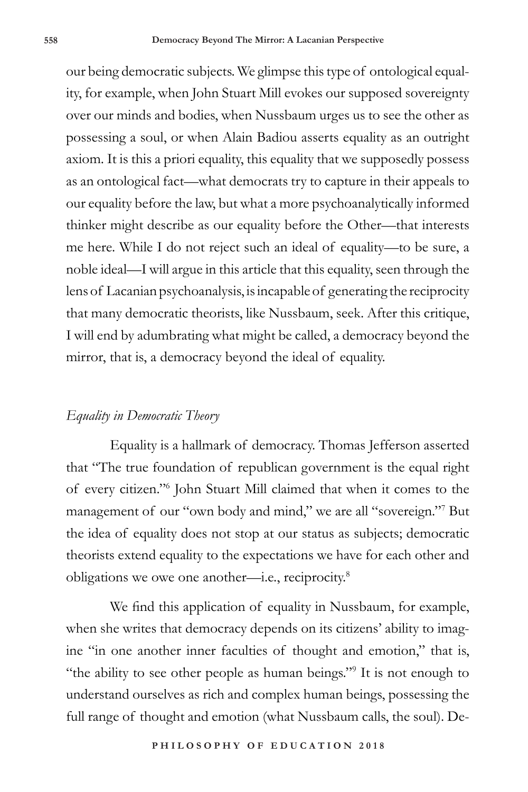our being democratic subjects. We glimpse this type of ontological equality, for example, when John Stuart Mill evokes our supposed sovereignty over our minds and bodies, when Nussbaum urges us to see the other as possessing a soul, or when Alain Badiou asserts equality as an outright axiom. It is this a priori equality, this equality that we supposedly possess as an ontological fact—what democrats try to capture in their appeals to our equality before the law, but what a more psychoanalytically informed thinker might describe as our equality before the Other—that interests me here. While I do not reject such an ideal of equality—to be sure, a noble ideal—I will argue in this article that this equality, seen through the lens of Lacanian psychoanalysis, is incapable of generating the reciprocity that many democratic theorists, like Nussbaum, seek. After this critique, I will end by adumbrating what might be called, a democracy beyond the mirror, that is, a democracy beyond the ideal of equality.

## *Equality in Democratic Theory*

Equality is a hallmark of democracy. Thomas Jefferson asserted that "The true foundation of republican government is the equal right of every citizen."<sup>6</sup> John Stuart Mill claimed that when it comes to the management of our "own body and mind," we are all "sovereign."<sup>7</sup> But the idea of equality does not stop at our status as subjects; democratic theorists extend equality to the expectations we have for each other and obligations we owe one another—i.e., reciprocity.<sup>8</sup>

We find this application of equality in Nussbaum, for example, when she writes that democracy depends on its citizens' ability to imagine "in one another inner faculties of thought and emotion," that is, "the ability to see other people as human beings."<sup>9</sup> It is not enough to understand ourselves as rich and complex human beings, possessing the full range of thought and emotion (what Nussbaum calls, the soul). De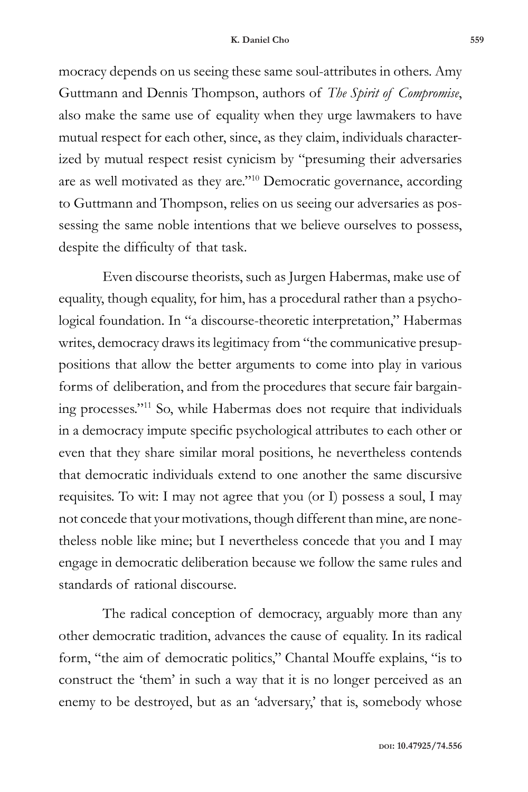mocracy depends on us seeing these same soul-attributes in others. Amy Guttmann and Dennis Thompson, authors of *The Spirit of Compromise*, also make the same use of equality when they urge lawmakers to have mutual respect for each other, since, as they claim, individuals characterized by mutual respect resist cynicism by "presuming their adversaries are as well motivated as they are."<sup>10</sup> Democratic governance, according to Guttmann and Thompson, relies on us seeing our adversaries as possessing the same noble intentions that we believe ourselves to possess, despite the difficulty of that task.

Even discourse theorists, such as Jurgen Habermas, make use of equality, though equality, for him, has a procedural rather than a psychological foundation. In "a discourse-theoretic interpretation," Habermas writes, democracy draws its legitimacy from "the communicative presuppositions that allow the better arguments to come into play in various forms of deliberation, and from the procedures that secure fair bargaining processes."<sup>11</sup> So, while Habermas does not require that individuals in a democracy impute specific psychological attributes to each other or even that they share similar moral positions, he nevertheless contends that democratic individuals extend to one another the same discursive requisites. To wit: I may not agree that you (or I) possess a soul, I may not concede that your motivations, though different than mine, are nonetheless noble like mine; but I nevertheless concede that you and I may engage in democratic deliberation because we follow the same rules and standards of rational discourse.

The radical conception of democracy, arguably more than any other democratic tradition, advances the cause of equality. In its radical form, "the aim of democratic politics," Chantal Mouffe explains, "is to construct the 'them' in such a way that it is no longer perceived as an enemy to be destroyed, but as an 'adversary,' that is, somebody whose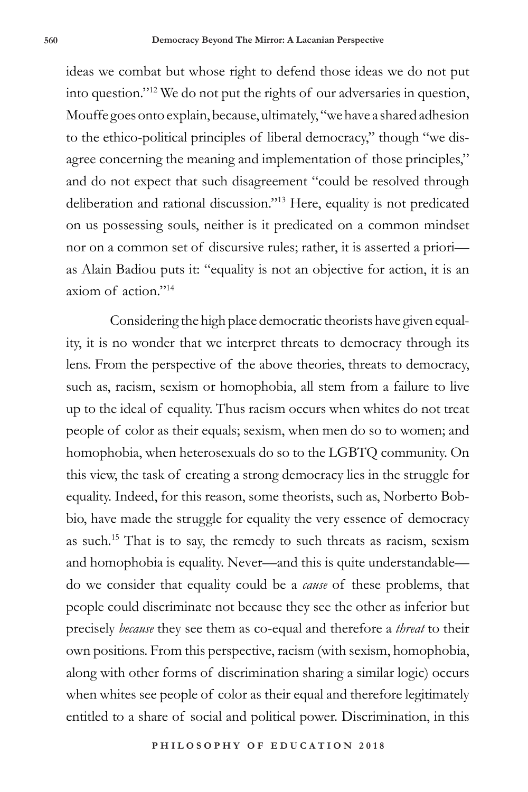ideas we combat but whose right to defend those ideas we do not put into question."<sup>12</sup> We do not put the rights of our adversaries in question, Mouffe goes onto explain, because, ultimately, "we have a shared adhesion to the ethico-political principles of liberal democracy," though "we disagree concerning the meaning and implementation of those principles," and do not expect that such disagreement "could be resolved through deliberation and rational discussion."<sup>13</sup> Here, equality is not predicated on us possessing souls, neither is it predicated on a common mindset nor on a common set of discursive rules; rather, it is asserted a priori as Alain Badiou puts it: "equality is not an objective for action, it is an axiom of action<sup>"14</sup>

Considering the high place democratic theorists have given equality, it is no wonder that we interpret threats to democracy through its lens. From the perspective of the above theories, threats to democracy, such as, racism, sexism or homophobia, all stem from a failure to live up to the ideal of equality. Thus racism occurs when whites do not treat people of color as their equals; sexism, when men do so to women; and homophobia, when heterosexuals do so to the LGBTQ community. On this view, the task of creating a strong democracy lies in the struggle for equality. Indeed, for this reason, some theorists, such as, Norberto Bobbio, have made the struggle for equality the very essence of democracy as such.<sup>15</sup> That is to say, the remedy to such threats as racism, sexism and homophobia is equality. Never—and this is quite understandable do we consider that equality could be a *cause* of these problems, that people could discriminate not because they see the other as inferior but precisely *because* they see them as co-equal and therefore a *threat* to their own positions. From this perspective, racism (with sexism, homophobia, along with other forms of discrimination sharing a similar logic) occurs when whites see people of color as their equal and therefore legitimately entitled to a share of social and political power. Discrimination, in this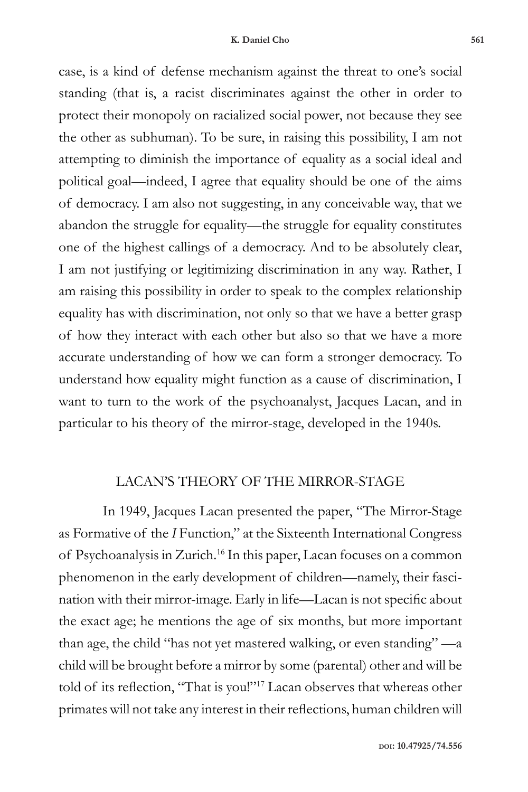case, is a kind of defense mechanism against the threat to one's social standing (that is, a racist discriminates against the other in order to protect their monopoly on racialized social power, not because they see the other as subhuman). To be sure, in raising this possibility, I am not attempting to diminish the importance of equality as a social ideal and political goal—indeed, I agree that equality should be one of the aims of democracy. I am also not suggesting, in any conceivable way, that we abandon the struggle for equality—the struggle for equality constitutes one of the highest callings of a democracy. And to be absolutely clear, I am not justifying or legitimizing discrimination in any way. Rather, I am raising this possibility in order to speak to the complex relationship equality has with discrimination, not only so that we have a better grasp of how they interact with each other but also so that we have a more accurate understanding of how we can form a stronger democracy. To understand how equality might function as a cause of discrimination, I want to turn to the work of the psychoanalyst, Jacques Lacan, and in particular to his theory of the mirror-stage, developed in the 1940s.

### LACAN'S THEORY OF THE MIRROR-STAGE

In 1949, Jacques Lacan presented the paper, "The Mirror-Stage as Formative of the *I* Function," at the Sixteenth International Congress of Psychoanalysis in Zurich.<sup>16</sup> In this paper, Lacan focuses on a common phenomenon in the early development of children—namely, their fascination with their mirror-image. Early in life—Lacan is not specific about the exact age; he mentions the age of six months, but more important than age, the child "has not yet mastered walking, or even standing" —a child will be brought before a mirror by some (parental) other and will be told of its reflection, "That is you!"17 Lacan observes that whereas other primates will not take any interest in their reflections, human children will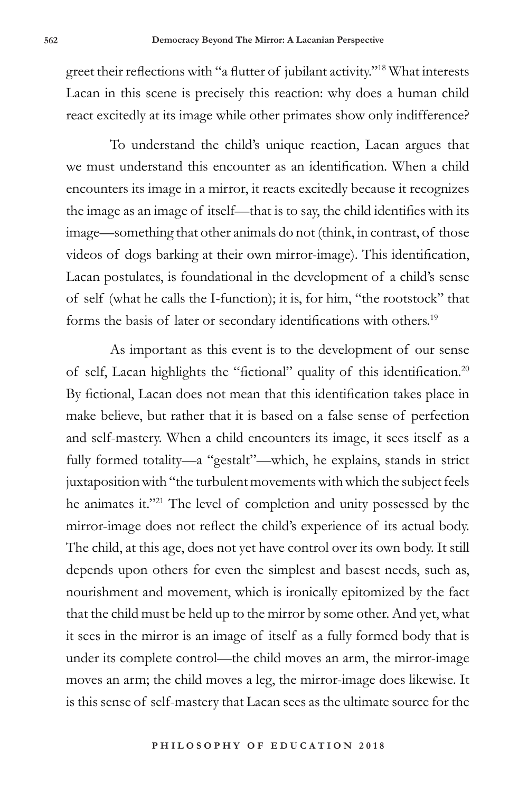greet their reflections with "a flutter of jubilant activity."18 What interests Lacan in this scene is precisely this reaction: why does a human child react excitedly at its image while other primates show only indifference?

To understand the child's unique reaction, Lacan argues that we must understand this encounter as an identification. When a child encounters its image in a mirror, it reacts excitedly because it recognizes the image as an image of itself—that is to say, the child identifies with its image—something that other animals do not (think, in contrast, of those videos of dogs barking at their own mirror-image). This identification, Lacan postulates, is foundational in the development of a child's sense of self (what he calls the I-function); it is, for him, "the rootstock" that forms the basis of later or secondary identifications with others.<sup>19</sup>

As important as this event is to the development of our sense of self, Lacan highlights the "fictional" quality of this identification.<sup>20</sup> By fictional, Lacan does not mean that this identification takes place in make believe, but rather that it is based on a false sense of perfection and self-mastery. When a child encounters its image, it sees itself as a fully formed totality—a "gestalt"—which, he explains, stands in strict juxtaposition with "the turbulent movements with which the subject feels he animates it."<sup>21</sup> The level of completion and unity possessed by the mirror-image does not reflect the child's experience of its actual body. The child, at this age, does not yet have control over its own body. It still depends upon others for even the simplest and basest needs, such as, nourishment and movement, which is ironically epitomized by the fact that the child must be held up to the mirror by some other. And yet, what it sees in the mirror is an image of itself as a fully formed body that is under its complete control—the child moves an arm, the mirror-image moves an arm; the child moves a leg, the mirror-image does likewise. It is this sense of self-mastery that Lacan sees as the ultimate source for the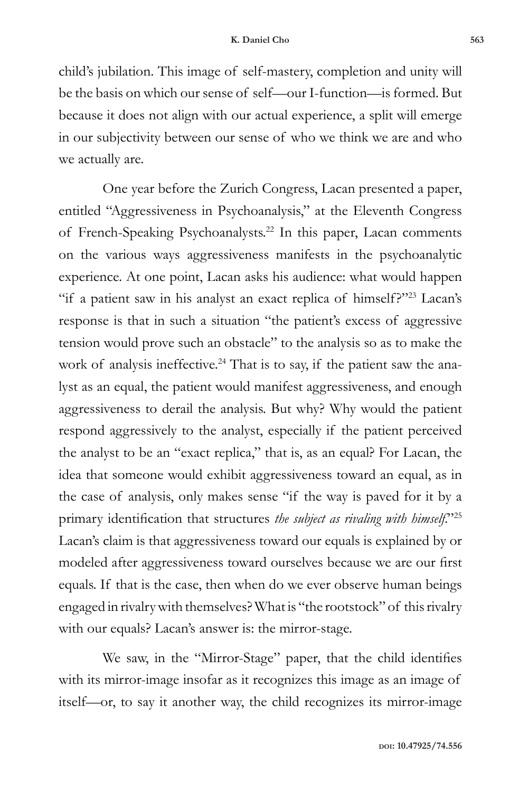child's jubilation. This image of self-mastery, completion and unity will be the basis on which our sense of self—our I-function—is formed. But because it does not align with our actual experience, a split will emerge in our subjectivity between our sense of who we think we are and who we actually are.

One year before the Zurich Congress, Lacan presented a paper, entitled "Aggressiveness in Psychoanalysis," at the Eleventh Congress of French-Speaking Psychoanalysts.<sup>22</sup> In this paper, Lacan comments on the various ways aggressiveness manifests in the psychoanalytic experience. At one point, Lacan asks his audience: what would happen "if a patient saw in his analyst an exact replica of himself?"<sup>23</sup> Lacan's response is that in such a situation "the patient's excess of aggressive tension would prove such an obstacle" to the analysis so as to make the work of analysis ineffective.<sup>24</sup> That is to say, if the patient saw the analyst as an equal, the patient would manifest aggressiveness, and enough aggressiveness to derail the analysis. But why? Why would the patient respond aggressively to the analyst, especially if the patient perceived the analyst to be an "exact replica," that is, as an equal? For Lacan, the idea that someone would exhibit aggressiveness toward an equal, as in the case of analysis, only makes sense "if the way is paved for it by a primary identification that structures *the subject as rivaling with himself*."<sup>25</sup> Lacan's claim is that aggressiveness toward our equals is explained by or modeled after aggressiveness toward ourselves because we are our first equals. If that is the case, then when do we ever observe human beings engaged in rivalry with themselves? What is "the rootstock" of this rivalry with our equals? Lacan's answer is: the mirror-stage.

We saw, in the "Mirror-Stage" paper, that the child identifies with its mirror-image insofar as it recognizes this image as an image of itself—or, to say it another way, the child recognizes its mirror-image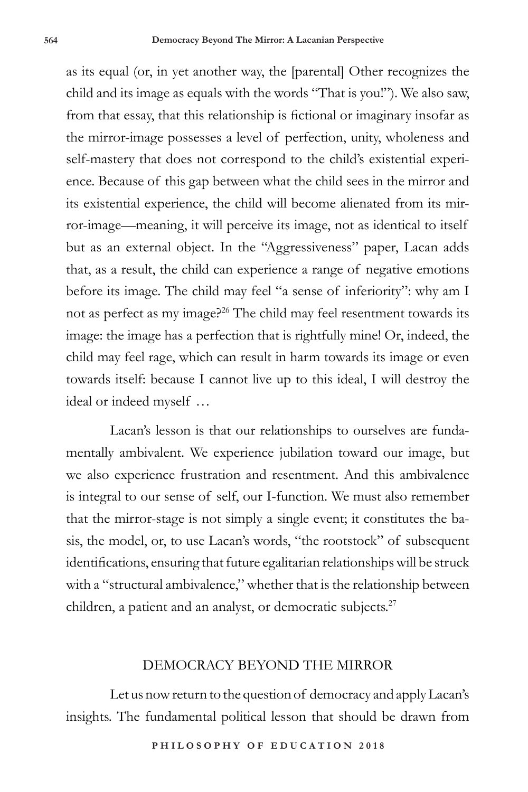as its equal (or, in yet another way, the [parental] Other recognizes the child and its image as equals with the words "That is you!"). We also saw, from that essay, that this relationship is fictional or imaginary insofar as the mirror-image possesses a level of perfection, unity, wholeness and self-mastery that does not correspond to the child's existential experience. Because of this gap between what the child sees in the mirror and its existential experience, the child will become alienated from its mirror-image—meaning, it will perceive its image, not as identical to itself but as an external object. In the "Aggressiveness" paper, Lacan adds that, as a result, the child can experience a range of negative emotions before its image. The child may feel "a sense of inferiority": why am I not as perfect as my image?26 The child may feel resentment towards its image: the image has a perfection that is rightfully mine! Or, indeed, the child may feel rage, which can result in harm towards its image or even towards itself: because I cannot live up to this ideal, I will destroy the ideal or indeed myself …

Lacan's lesson is that our relationships to ourselves are fundamentally ambivalent. We experience jubilation toward our image, but we also experience frustration and resentment. And this ambivalence is integral to our sense of self, our I-function. We must also remember that the mirror-stage is not simply a single event; it constitutes the basis, the model, or, to use Lacan's words, "the rootstock" of subsequent identifications, ensuring that future egalitarian relationships will be struck with a "structural ambivalence," whether that is the relationship between children, a patient and an analyst, or democratic subjects.<sup>27</sup>

### DEMOCRACY BEYOND THE MIRROR

Let us now return to the question of democracy and apply Lacan's insights. The fundamental political lesson that should be drawn from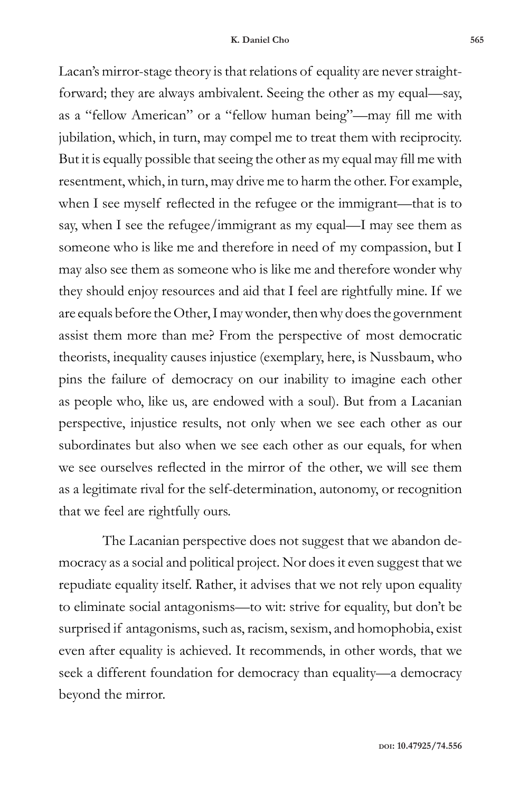Lacan's mirror-stage theory is that relations of equality are never straightforward; they are always ambivalent. Seeing the other as my equal—say, as a "fellow American" or a "fellow human being"—may fill me with jubilation, which, in turn, may compel me to treat them with reciprocity. But it is equally possible that seeing the other as my equal may fill me with resentment, which, in turn, may drive me to harm the other. For example, when I see myself reflected in the refugee or the immigrant—that is to say, when I see the refugee/immigrant as my equal—I may see them as someone who is like me and therefore in need of my compassion, but I may also see them as someone who is like me and therefore wonder why they should enjoy resources and aid that I feel are rightfully mine. If we are equals before the Other, I may wonder, then why does the government assist them more than me? From the perspective of most democratic theorists, inequality causes injustice (exemplary, here, is Nussbaum, who pins the failure of democracy on our inability to imagine each other as people who, like us, are endowed with a soul). But from a Lacanian perspective, injustice results, not only when we see each other as our subordinates but also when we see each other as our equals, for when we see ourselves reflected in the mirror of the other, we will see them as a legitimate rival for the self-determination, autonomy, or recognition that we feel are rightfully ours.

The Lacanian perspective does not suggest that we abandon democracy as a social and political project. Nor does it even suggest that we repudiate equality itself. Rather, it advises that we not rely upon equality to eliminate social antagonisms—to wit: strive for equality, but don't be surprised if antagonisms, such as, racism, sexism, and homophobia, exist even after equality is achieved. It recommends, in other words, that we seek a different foundation for democracy than equality—a democracy beyond the mirror.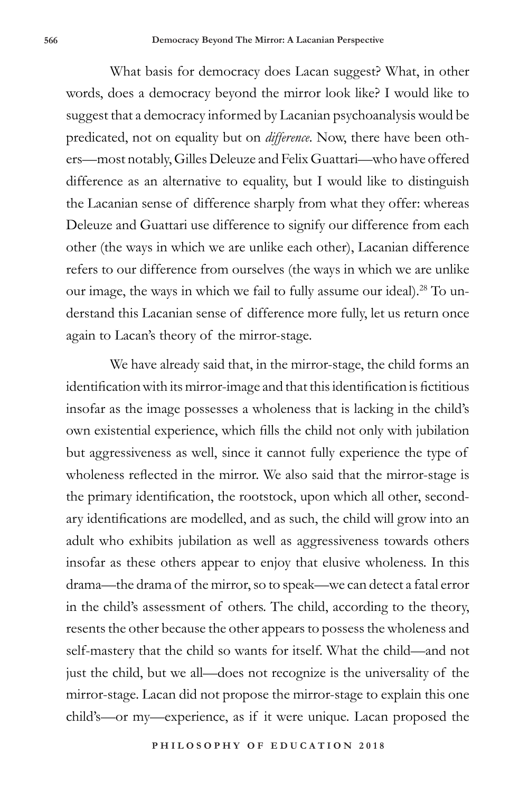What basis for democracy does Lacan suggest? What, in other words, does a democracy beyond the mirror look like? I would like to suggest that a democracy informed by Lacanian psychoanalysis would be predicated, not on equality but on *difference*. Now, there have been others—most notably, Gilles Deleuze and Felix Guattari—who have offered difference as an alternative to equality, but I would like to distinguish the Lacanian sense of difference sharply from what they offer: whereas Deleuze and Guattari use difference to signify our difference from each other (the ways in which we are unlike each other), Lacanian difference refers to our difference from ourselves (the ways in which we are unlike our image, the ways in which we fail to fully assume our ideal).28 To understand this Lacanian sense of difference more fully, let us return once again to Lacan's theory of the mirror-stage.

We have already said that, in the mirror-stage, the child forms an identification with its mirror-image and that this identification is fictitious insofar as the image possesses a wholeness that is lacking in the child's own existential experience, which fills the child not only with jubilation but aggressiveness as well, since it cannot fully experience the type of wholeness reflected in the mirror. We also said that the mirror-stage is the primary identification, the rootstock, upon which all other, secondary identifications are modelled, and as such, the child will grow into an adult who exhibits jubilation as well as aggressiveness towards others insofar as these others appear to enjoy that elusive wholeness. In this drama—the drama of the mirror, so to speak—we can detect a fatal error in the child's assessment of others. The child, according to the theory, resents the other because the other appears to possess the wholeness and self-mastery that the child so wants for itself. What the child—and not just the child, but we all—does not recognize is the universality of the mirror-stage. Lacan did not propose the mirror-stage to explain this one child's—or my—experience, as if it were unique. Lacan proposed the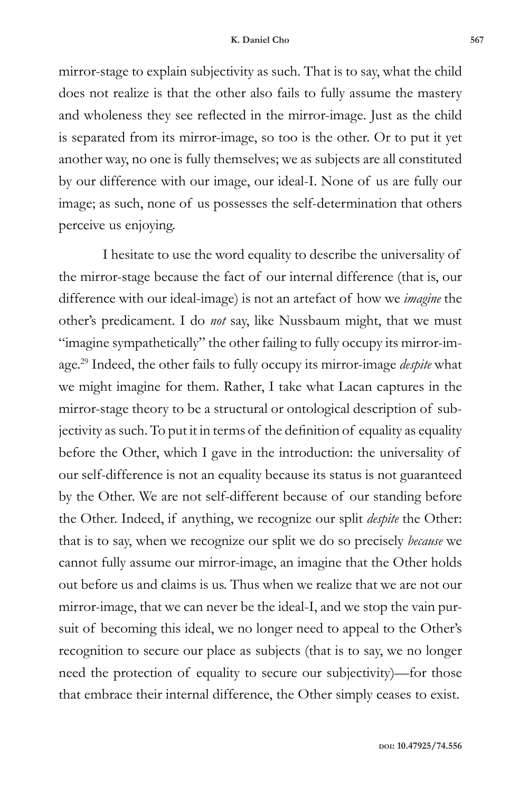mirror-stage to explain subjectivity as such. That is to say, what the child does not realize is that the other also fails to fully assume the mastery and wholeness they see reflected in the mirror-image. Just as the child is separated from its mirror-image, so too is the other. Or to put it yet another way, no one is fully themselves; we as subjects are all constituted by our difference with our image, our ideal-I. None of us are fully our image; as such, none of us possesses the self-determination that others perceive us enjoying.

I hesitate to use the word equality to describe the universality of the mirror-stage because the fact of our internal difference (that is, our difference with our ideal-image) is not an artefact of how we *imagine* the other's predicament. I do *not* say, like Nussbaum might, that we must "imagine sympathetically" the other failing to fully occupy its mirror-image.29 Indeed, the other fails to fully occupy its mirror-image *despite* what we might imagine for them. Rather, I take what Lacan captures in the mirror-stage theory to be a structural or ontological description of subjectivity as such. To put it in terms of the definition of equality as equality before the Other, which I gave in the introduction: the universality of our self-difference is not an equality because its status is not guaranteed by the Other. We are not self-different because of our standing before the Other. Indeed, if anything, we recognize our split *despite* the Other: that is to say, when we recognize our split we do so precisely *because* we cannot fully assume our mirror-image, an imagine that the Other holds out before us and claims is us. Thus when we realize that we are not our mirror-image, that we can never be the ideal-I, and we stop the vain pursuit of becoming this ideal, we no longer need to appeal to the Other's recognition to secure our place as subjects (that is to say, we no longer need the protection of equality to secure our subjectivity)—for those that embrace their internal difference, the Other simply ceases to exist.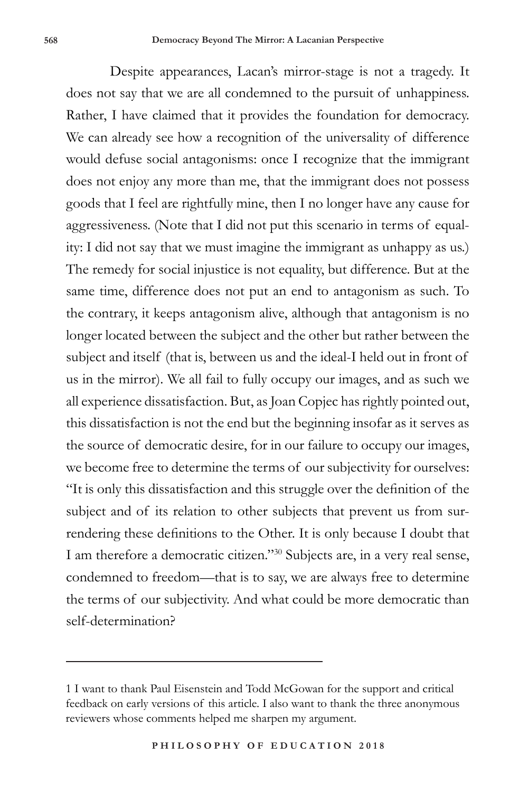Despite appearances, Lacan's mirror-stage is not a tragedy. It does not say that we are all condemned to the pursuit of unhappiness. Rather, I have claimed that it provides the foundation for democracy. We can already see how a recognition of the universality of difference would defuse social antagonisms: once I recognize that the immigrant does not enjoy any more than me, that the immigrant does not possess goods that I feel are rightfully mine, then I no longer have any cause for aggressiveness. (Note that I did not put this scenario in terms of equality: I did not say that we must imagine the immigrant as unhappy as us.) The remedy for social injustice is not equality, but difference. But at the same time, difference does not put an end to antagonism as such. To the contrary, it keeps antagonism alive, although that antagonism is no longer located between the subject and the other but rather between the subject and itself (that is, between us and the ideal-I held out in front of us in the mirror). We all fail to fully occupy our images, and as such we all experience dissatisfaction. But, as Joan Copjec has rightly pointed out, this dissatisfaction is not the end but the beginning insofar as it serves as the source of democratic desire, for in our failure to occupy our images, we become free to determine the terms of our subjectivity for ourselves: "It is only this dissatisfaction and this struggle over the definition of the subject and of its relation to other subjects that prevent us from surrendering these definitions to the Other. It is only because I doubt that I am therefore a democratic citizen."<sup>30</sup> Subjects are, in a very real sense, condemned to freedom—that is to say, we are always free to determine the terms of our subjectivity. And what could be more democratic than self-determination?

<sup>1</sup> I want to thank Paul Eisenstein and Todd McGowan for the support and critical feedback on early versions of this article. I also want to thank the three anonymous reviewers whose comments helped me sharpen my argument.